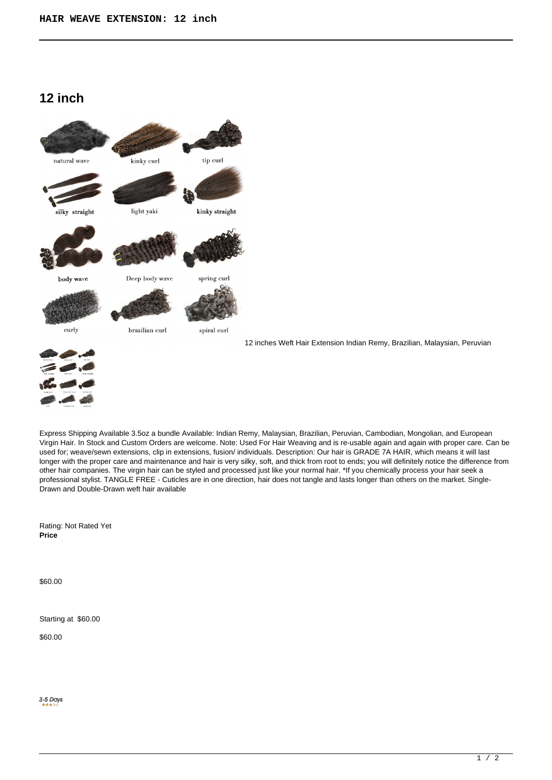# **12 inch**



Express Shipping Available 3.5oz a bundle Available: Indian Remy, Malaysian, Brazilian, Peruvian, Cambodian, Mongolian, and European Virgin Hair. In Stock and Custom Orders are welcome. Note: Used For Hair Weaving and is re-usable again and again with proper care. Can be used for; weave/sewn extensions, clip in extensions, fusion/ individuals. Description: Our hair is GRADE 7A HAIR, which means it will last longer with the proper care and maintenance and hair is very silky, soft, and thick from root to ends; you will definitely notice the difference from other hair companies. The virgin hair can be styled and processed just like your normal hair. \*If you chemically process your hair seek a professional stylist. TANGLE FREE - Cuticles are in one direction, hair does not tangle and lasts longer than others on the market. Single-Drawn and Double-Drawn weft hair available

Rating: Not Rated Yet **Price** 

\$60.00

Starting at \$60.00

\$60.00